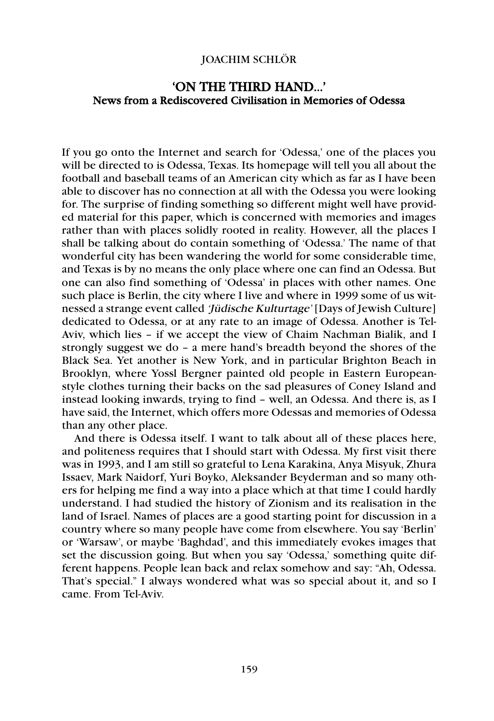# 'ON THE THIRD HAND…' News from a Rediscovered Civilisation in Memories of Odessa

If you go onto the Internet and search for 'Odessa,' one of the places you will be directed to is Odessa, Texas. Its homepage will tell you all about the football and baseball teams of an American city which as far as I have been able to discover has no connection at all with the Odessa you were looking for. The surprise of finding something so different might well have provided material for this paper, which is concerned with memories and images rather than with places solidly rooted in reality. However, all the places I shall be talking about do contain something of 'Odessa.' The name of that wonderful city has been wandering the world for some considerable time, and Texas is by no means the only place where one can find an Odessa. But one can also find something of 'Odessa' in places with other names. One such place is Berlin, the city where I live and where in 1999 some of us witnessed a strange event called 'Jüdische Kulturtage' [Days of Jewish Culture] dedicated to Odessa, or at any rate to an image of Odessa. Another is Tel-Aviv, which lies – if we accept the view of Chaim Nachman Bialik, and I strongly suggest we do – a mere hand's breadth beyond the shores of the Black Sea. Yet another is New York, and in particular Brighton Beach in Brooklyn, where Yossl Bergner painted old people in Eastern Europeanstyle clothes turning their backs on the sad pleasures of Coney Island and instead looking inwards, trying to find – well, an Odessa. And there is, as I have said, the Internet, which offers more Odessas and memories of Odessa than any other place.

And there is Odessa itself. I want to talk about all of these places here, and politeness requires that I should start with Odessa. My first visit there was in 1993, and I am still so grateful to Lena Karakina, Anya Misyuk, Zhura Issaev, Mark Naidorf, Yuri Boyko, Aleksander Beyderman and so many others for helping me find a way into a place which at that time I could hardly understand. I had studied the history of Zionism and its realisation in the land of Israel. Names of places are a good starting point for discussion in a country where so many people have come from elsewhere. You say 'Berlin' or 'Warsaw', or maybe 'Baghdad', and this immediately evokes images that set the discussion going. But when you say 'Odessa,' something quite different happens. People lean back and relax somehow and say: "Ah, Odessa. That's special." I always wondered what was so special about it, and so I came. From Tel-Aviv.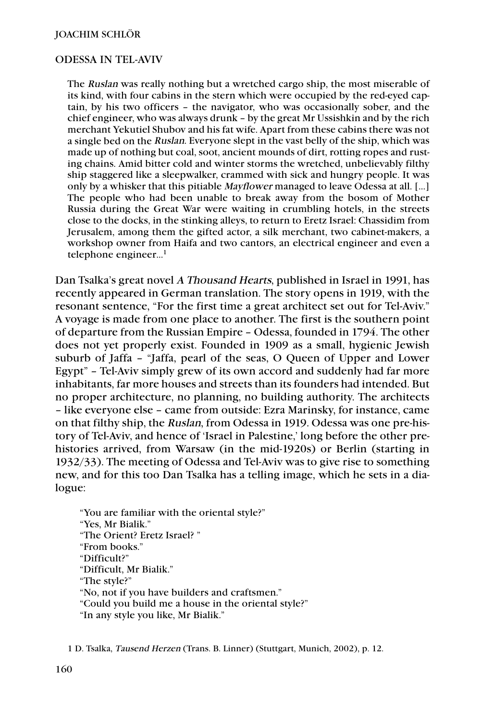#### ODESSA IN TEL-AVIV

The Ruslan was really nothing but a wretched cargo ship, the most miserable of its kind, with four cabins in the stern which were occupied by the red-eyed captain, by his two officers – the navigator, who was occasionally sober, and the chief engineer, who was always drunk – by the great Mr Ussishkin and by the rich merchant Yekutiel Shubov and his fat wife. Apart from these cabins there was not a single bed on the Ruslan. Everyone slept in the vast belly of the ship, which was made up of nothing but coal, soot, ancient mounds of dirt, rotting ropes and rusting chains. Amid bitter cold and winter storms the wretched, unbelievably filthy ship staggered like a sleepwalker, crammed with sick and hungry people. It was only by a whisker that this pitiable Mayflower managed to leave Odessa at all. […] The people who had been unable to break away from the bosom of Mother Russia during the Great War were waiting in crumbling hotels, in the streets close to the docks, in the stinking alleys, to return to Eretz Israel: Chassidim from Jerusalem, among them the gifted actor, a silk merchant, two cabinet-makers, a workshop owner from Haifa and two cantors, an electrical engineer and even a telephone engineer…1

Dan Tsalka's great novel A Thousand Hearts, published in Israel in 1991, has recently appeared in German translation. The story opens in 1919, with the resonant sentence, "For the first time a great architect set out for Tel-Aviv." A voyage is made from one place to another. The first is the southern point of departure from the Russian Empire – Odessa, founded in 1794. The other does not yet properly exist. Founded in 1909 as a small, hygienic Jewish suburb of Jaffa – "Jaffa, pearl of the seas, O Queen of Upper and Lower Egypt" – Tel-Aviv simply grew of its own accord and suddenly had far more inhabitants, far more houses and streets than its founders had intended. But no proper architecture, no planning, no building authority. The architects – like everyone else – came from outside: Ezra Marinsky, for instance, came on that filthy ship, the Ruslan, from Odessa in 1919. Odessa was one pre-history of Tel-Aviv, and hence of 'Israel in Palestine,' long before the other prehistories arrived, from Warsaw (in the mid-1920s) or Berlin (starting in 1932/33). The meeting of Odessa and Tel-Aviv was to give rise to something new, and for this too Dan Tsalka has a telling image, which he sets in a dialogue:

"You are familiar with the oriental style?" "Yes, Mr Bialik." "The Orient? Eretz Israel? " "From books." "Difficult?" "Difficult, Mr Bialik." "The style?" "No, not if you have builders and craftsmen." "Could you build me a house in the oriental style?" "In any style you like, Mr Bialik."

1 D. Tsalka, Tausend Herzen (Trans. B. Linner) (Stuttgart, Munich, 2002), p. 12.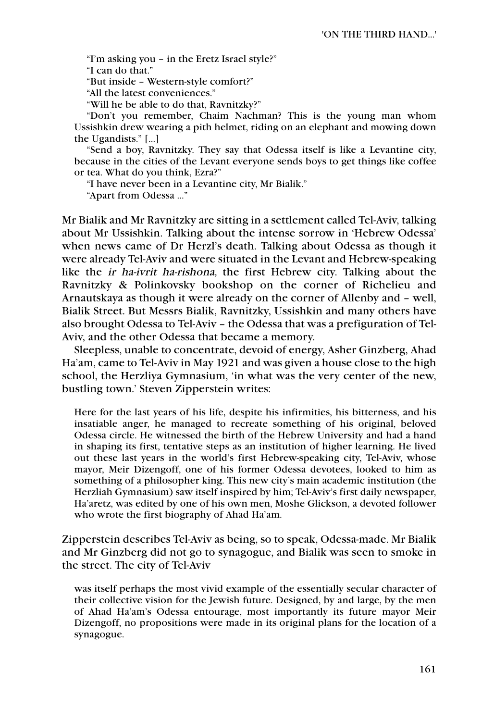"I'm asking you – in the Eretz Israel style?"

"I can do that."

"But inside – Western-style comfort?"

"All the latest conveniences."

"Will he be able to do that, Ravnitzky?"

"Don't you remember, Chaim Nachman? This is the young man whom Ussishkin drew wearing a pith helmet, riding on an elephant and mowing down the Ugandists." […]

"Send a boy, Ravnitzky. They say that Odessa itself is like a Levantine city, because in the cities of the Levant everyone sends boys to get things like coffee or tea. What do you think, Ezra?"

"I have never been in a Levantine city, Mr Bialik."

"Apart from Odessa …"

Mr Bialik and Mr Ravnitzky are sitting in a settlement called Tel-Aviv, talking about Mr Ussishkin. Talking about the intense sorrow in 'Hebrew Odessa' when news came of Dr Herzl's death. Talking about Odessa as though it were already Tel-Aviv and were situated in the Levant and Hebrew-speaking like the ir ha-ivrit ha-rishona, the first Hebrew city. Talking about the Ravnitzky & Polinkovsky bookshop on the corner of Richelieu and Arnautskaya as though it were already on the corner of Allenby and – well, Bialik Street. But Messrs Bialik, Ravnitzky, Ussishkin and many others have also brought Odessa to Tel-Aviv – the Odessa that was a prefiguration of Tel-Aviv, and the other Odessa that became a memory.

Sleepless, unable to concentrate, devoid of energy, Asher Ginzberg, Ahad Ha'am, came to Tel-Aviv in May 1921 and was given a house close to the high school, the Herzliya Gymnasium, 'in what was the very center of the new, bustling town.' Steven Zipperstein writes:

Here for the last years of his life, despite his infirmities, his bitterness, and his insatiable anger, he managed to recreate something of his original, beloved Odessa circle. He witnessed the birth of the Hebrew University and had a hand in shaping its first, tentative steps as an institution of higher learning. He lived out these last years in the world's first Hebrew-speaking city, Tel-Aviv, whose mayor, Meir Dizengoff, one of his former Odessa devotees, looked to him as something of a philosopher king. This new city's main academic institution (the Herzliah Gymnasium) saw itself inspired by him; Tel-Aviv's first daily newspaper, Ha'aretz, was edited by one of his own men, Moshe Glickson, a devoted follower who wrote the first biography of Ahad Ha'am.

Zipperstein describes Tel-Aviv as being, so to speak, Odessa-made. Mr Bialik and Mr Ginzberg did not go to synagogue, and Bialik was seen to smoke in the street. The city of Tel-Aviv

was itself perhaps the most vivid example of the essentially secular character of their collective vision for the Jewish future. Designed, by and large, by the men of Ahad Ha'am's Odessa entourage, most importantly its future mayor Meir Dizengoff, no propositions were made in its original plans for the location of a synagogue.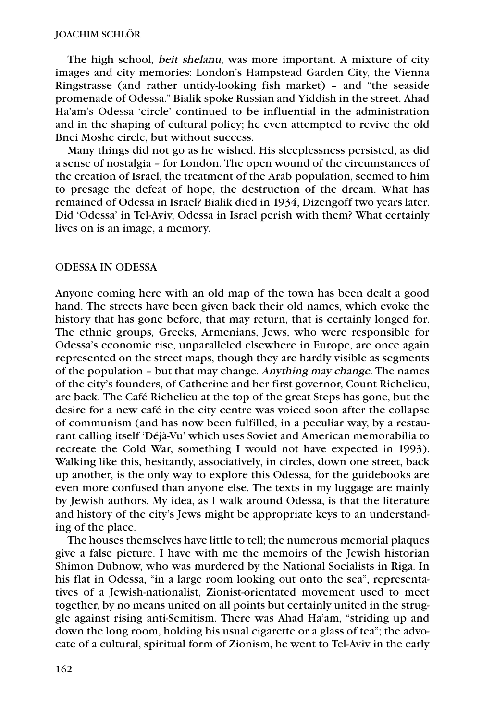The high school, beit shelanu, was more important. A mixture of city images and city memories: London's Hampstead Garden City, the Vienna Ringstrasse (and rather untidy-looking fish market) – and "the seaside promenade of Odessa." Bialik spoke Russian and Yiddish in the street. Ahad Ha'am's Odessa 'circle' continued to be influential in the administration and in the shaping of cultural policy; he even attempted to revive the old Bnei Moshe circle, but without success.

Many things did not go as he wished. His sleeplessness persisted, as did a sense of nostalgia – for London. The open wound of the circumstances of the creation of Israel, the treatment of the Arab population, seemed to him to presage the defeat of hope, the destruction of the dream. What has remained of Odessa in Israel? Bialik died in 1934, Dizengoff two years later. Did 'Odessa' in Tel-Aviv, Odessa in Israel perish with them? What certainly lives on is an image, a memory.

### ODESSA IN ODESSA

Anyone coming here with an old map of the town has been dealt a good hand. The streets have been given back their old names, which evoke the history that has gone before, that may return, that is certainly longed for. The ethnic groups, Greeks, Armenians, Jews, who were responsible for Odessa's economic rise, unparalleled elsewhere in Europe, are once again represented on the street maps, though they are hardly visible as segments of the population – but that may change. Anything may change. The names of the city's founders, of Catherine and her first governor, Count Richelieu, are back. The Café Richelieu at the top of the great Steps has gone, but the desire for a new café in the city centre was voiced soon after the collapse of communism (and has now been fulfilled, in a peculiar way, by a restaurant calling itself 'Déjà-Vu' which uses Soviet and American memorabilia to recreate the Cold War, something I would not have expected in 1993). Walking like this, hesitantly, associatively, in circles, down one street, back up another, is the only way to explore this Odessa, for the guidebooks are even more confused than anyone else. The texts in my luggage are mainly by Jewish authors. My idea, as I walk around Odessa, is that the literature and history of the city's Jews might be appropriate keys to an understanding of the place.

The houses themselves have little to tell; the numerous memorial plaques give a false picture. I have with me the memoirs of the Jewish historian Shimon Dubnow, who was murdered by the National Socialists in Riga. In his flat in Odessa, "in a large room looking out onto the sea", representatives of a Jewish-nationalist, Zionist-orientated movement used to meet together, by no means united on all points but certainly united in the struggle against rising anti-Semitism. There was Ahad Ha'am, "striding up and down the long room, holding his usual cigarette or a glass of tea"; the advocate of a cultural, spiritual form of Zionism, he went to Tel-Aviv in the early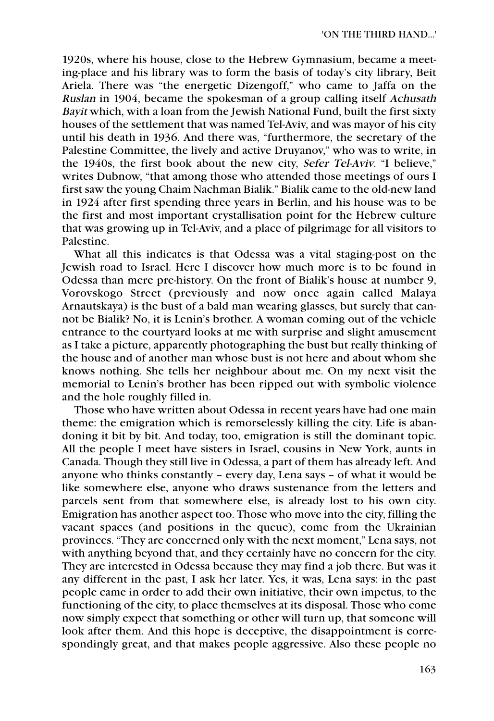1920s, where his house, close to the Hebrew Gymnasium, became a meeting-place and his library was to form the basis of today's city library, Beit Ariela. There was "the energetic Dizengoff," who came to Jaffa on the Ruslan in 1904, became the spokesman of a group calling itself Achusath Bayit which, with a loan from the Jewish National Fund, built the first sixty houses of the settlement that was named Tel-Aviv, and was mayor of his city until his death in 1936. And there was, "furthermore, the secretary of the Palestine Committee, the lively and active Druyanov," who was to write, in the 1940s, the first book about the new city, Sefer Tel-Aviv. "I believe," writes Dubnow, "that among those who attended those meetings of ours I first saw the young Chaim Nachman Bialik." Bialik came to the old-new land in 1924 after first spending three years in Berlin, and his house was to be the first and most important crystallisation point for the Hebrew culture that was growing up in Tel-Aviv, and a place of pilgrimage for all visitors to Palestine.

What all this indicates is that Odessa was a vital staging-post on the Jewish road to Israel. Here I discover how much more is to be found in Odessa than mere pre-history. On the front of Bialik's house at number 9, Vorovskogo Street (previously and now once again called Malaya Arnautskaya) is the bust of a bald man wearing glasses, but surely that cannot be Bialik? No, it is Lenin's brother. A woman coming out of the vehicle entrance to the courtyard looks at me with surprise and slight amusement as I take a picture, apparently photographing the bust but really thinking of the house and of another man whose bust is not here and about whom she knows nothing. She tells her neighbour about me. On my next visit the memorial to Lenin's brother has been ripped out with symbolic violence and the hole roughly filled in.

Those who have written about Odessa in recent years have had one main theme: the emigration which is remorselessly killing the city. Life is abandoning it bit by bit. And today, too, emigration is still the dominant topic. All the people I meet have sisters in Israel, cousins in New York, aunts in Canada. Though they still live in Odessa, a part of them has already left. And anyone who thinks constantly – every day, Lena says – of what it would be like somewhere else, anyone who draws sustenance from the letters and parcels sent from that somewhere else, is already lost to his own city. Emigration has another aspect too. Those who move into the city, filling the vacant spaces (and positions in the queue), come from the Ukrainian provinces. "They are concerned only with the next moment," Lena says, not with anything beyond that, and they certainly have no concern for the city. They are interested in Odessa because they may find a job there. But was it any different in the past, I ask her later. Yes, it was, Lena says: in the past people came in order to add their own initiative, their own impetus, to the functioning of the city, to place themselves at its disposal. Those who come now simply expect that something or other will turn up, that someone will look after them. And this hope is deceptive, the disappointment is correspondingly great, and that makes people aggressive. Also these people no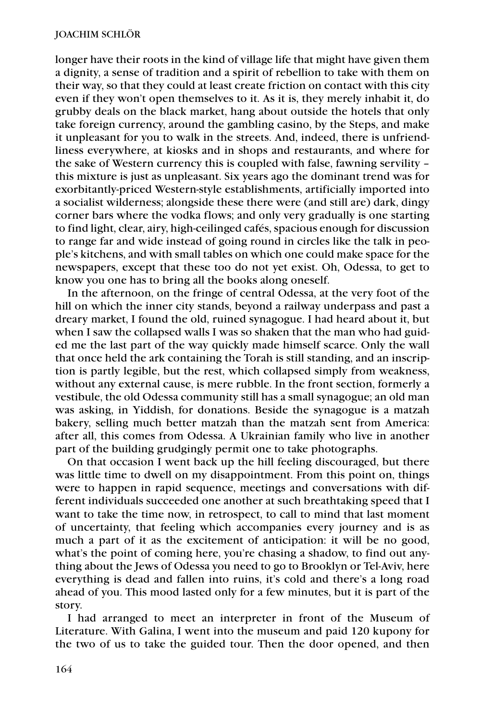longer have their roots in the kind of village life that might have given them a dignity, a sense of tradition and a spirit of rebellion to take with them on their way, so that they could at least create friction on contact with this city even if they won't open themselves to it. As it is, they merely inhabit it, do grubby deals on the black market, hang about outside the hotels that only take foreign currency, around the gambling casino, by the Steps, and make it unpleasant for you to walk in the streets. And, indeed, there is unfriendliness everywhere, at kiosks and in shops and restaurants, and where for the sake of Western currency this is coupled with false, fawning servility – this mixture is just as unpleasant. Six years ago the dominant trend was for exorbitantly-priced Western-style establishments, artificially imported into a socialist wilderness; alongside these there were (and still are) dark, dingy corner bars where the vodka flows; and only very gradually is one starting to find light, clear, airy, high-ceilinged cafés, spacious enough for discussion to range far and wide instead of going round in circles like the talk in people's kitchens, and with small tables on which one could make space for the newspapers, except that these too do not yet exist. Oh, Odessa, to get to know you one has to bring all the books along oneself.

In the afternoon, on the fringe of central Odessa, at the very foot of the hill on which the inner city stands, beyond a railway underpass and past a dreary market, I found the old, ruined synagogue. I had heard about it, but when I saw the collapsed walls I was so shaken that the man who had guided me the last part of the way quickly made himself scarce. Only the wall that once held the ark containing the Torah is still standing, and an inscription is partly legible, but the rest, which collapsed simply from weakness, without any external cause, is mere rubble. In the front section, formerly a vestibule, the old Odessa community still has a small synagogue; an old man was asking, in Yiddish, for donations. Beside the synagogue is a matzah bakery, selling much better matzah than the matzah sent from America: after all, this comes from Odessa. A Ukrainian family who live in another part of the building grudgingly permit one to take photographs.

On that occasion I went back up the hill feeling discouraged, but there was little time to dwell on my disappointment. From this point on, things were to happen in rapid sequence, meetings and conversations with different individuals succeeded one another at such breathtaking speed that I want to take the time now, in retrospect, to call to mind that last moment of uncertainty, that feeling which accompanies every journey and is as much a part of it as the excitement of anticipation: it will be no good, what's the point of coming here, you're chasing a shadow, to find out anything about the Jews of Odessa you need to go to Brooklyn or Tel-Aviv, here everything is dead and fallen into ruins, it's cold and there's a long road ahead of you. This mood lasted only for a few minutes, but it is part of the story.

I had arranged to meet an interpreter in front of the Museum of Literature. With Galina, I went into the museum and paid 120 kupony for the two of us to take the guided tour. Then the door opened, and then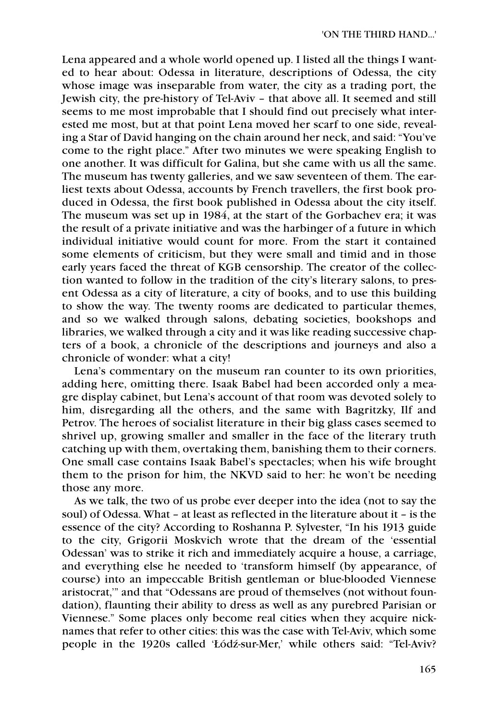Lena appeared and a whole world opened up. I listed all the things I wanted to hear about: Odessa in literature, descriptions of Odessa, the city whose image was inseparable from water, the city as a trading port, the Jewish city, the pre-history of Tel-Aviv – that above all. It seemed and still seems to me most improbable that I should find out precisely what interested me most, but at that point Lena moved her scarf to one side, revealing a Star of David hanging on the chain around her neck, and said: "You've come to the right place." After two minutes we were speaking English to one another. It was difficult for Galina, but she came with us all the same. The museum has twenty galleries, and we saw seventeen of them. The earliest texts about Odessa, accounts by French travellers, the first book produced in Odessa, the first book published in Odessa about the city itself. The museum was set up in 1984, at the start of the Gorbachev era; it was the result of a private initiative and was the harbinger of a future in which individual initiative would count for more. From the start it contained some elements of criticism, but they were small and timid and in those early years faced the threat of KGB censorship. The creator of the collection wanted to follow in the tradition of the city's literary salons, to present Odessa as a city of literature, a city of books, and to use this building to show the way. The twenty rooms are dedicated to particular themes, and so we walked through salons, debating societies, bookshops and libraries, we walked through a city and it was like reading successive chapters of a book, a chronicle of the descriptions and journeys and also a chronicle of wonder: what a city!

Lena's commentary on the museum ran counter to its own priorities, adding here, omitting there. Isaak Babel had been accorded only a meagre display cabinet, but Lena's account of that room was devoted solely to him, disregarding all the others, and the same with Bagritzky, Ilf and Petrov. The heroes of socialist literature in their big glass cases seemed to shrivel up, growing smaller and smaller in the face of the literary truth catching up with them, overtaking them, banishing them to their corners. One small case contains Isaak Babel's spectacles; when his wife brought them to the prison for him, the NKVD said to her: he won't be needing those any more.

As we talk, the two of us probe ever deeper into the idea (not to say the soul) of Odessa. What – at least as reflected in the literature about it – is the essence of the city? According to Roshanna P. Sylvester, "In his 1913 guide to the city, Grigorii Moskvich wrote that the dream of the 'essential Odessan' was to strike it rich and immediately acquire a house, a carriage, and everything else he needed to 'transform himself (by appearance, of course) into an impeccable British gentleman or blue-blooded Viennese aristocrat,'" and that "Odessans are proud of themselves (not without foundation), flaunting their ability to dress as well as any purebred Parisian or Viennese." Some places only become real cities when they acquire nicknames that refer to other cities: this was the case with Tel-Aviv, which some people in the 1920s called 'Łódź-sur-Mer,' while others said: "Tel-Aviv?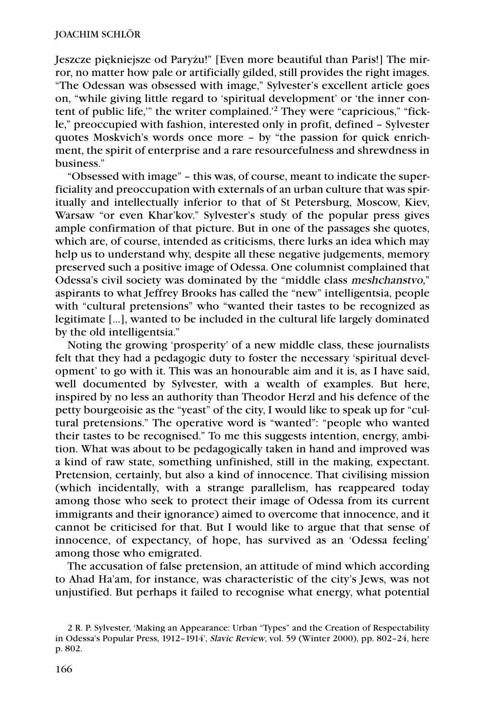Jeszcze piękniejsze od Paryżu!" [Even more beautiful than Paris!] The mirror, no matter how pale or artificially gilded, still provides the right images. "The Odessan was obsessed with image," Sylvester's excellent article goes on, "while giving little regard to 'spiritual development' or 'the inner content of public life,'" the writer complained.' <sup>2</sup> They were "capricious," "fickle," preoccupied with fashion, interested only in profit, defined – Sylvester quotes Moskvich's words once more – by "the passion for quick enrichment, the spirit of enterprise and a rare resourcefulness and shrewdness in business."

"Obsessed with image" – this was, of course, meant to indicate the superficiality and preoccupation with externals of an urban culture that was spiritually and intellectually inferior to that of St Petersburg, Moscow, Kiev, Warsaw "or even Khar'kov." Sylvester's study of the popular press gives ample confirmation of that picture. But in one of the passages she quotes, which are, of course, intended as criticisms, there lurks an idea which may help us to understand why, despite all these negative judgements, memory preserved such a positive image of Odessa. One columnist complained that Odessa's civil society was dominated by the "middle class meshchanstvo," aspirants to what Jeffrey Brooks has called the "new" intelligentsia, people with "cultural pretensions" who "wanted their tastes to be recognized as legitimate […], wanted to be included in the cultural life largely dominated by the old intelligentsia."

Noting the growing 'prosperity' of a new middle class, these journalists felt that they had a pedagogic duty to foster the necessary 'spiritual development' to go with it. This was an honourable aim and it is, as I have said, well documented by Sylvester, with a wealth of examples. But here, inspired by no less an authority than Theodor Herzl and his defence of the petty bourgeoisie as the "yeast" of the city, I would like to speak up for "cultural pretensions." The operative word is "wanted": "people who wanted their tastes to be recognised." To me this suggests intention, energy, ambition. What was about to be pedagogically taken in hand and improved was a kind of raw state, something unfinished, still in the making, expectant. Pretension, certainly, but also a kind of innocence. That civilising mission (which incidentally, with a strange parallelism, has reappeared today among those who seek to protect their image of Odessa from its current immigrants and their ignorance) aimed to overcome that innocence, and it cannot be criticised for that. But I would like to argue that that sense of innocence, of expectancy, of hope, has survived as an 'Odessa feeling' among those who emigrated.

The accusation of false pretension, an attitude of mind which according to Ahad Ha'am, for instance, was characteristic of the city's Jews, was not unjustified. But perhaps it failed to recognise what energy, what potential

<sup>2</sup> R. P. Sylvester, 'Making an Appearance: Urban "Types" and the Creation of Respectability in Odessa's Popular Press, 1912–1914', Slavic Review, vol. 59 (Winter 2000), pp. 802–24, here p. 802.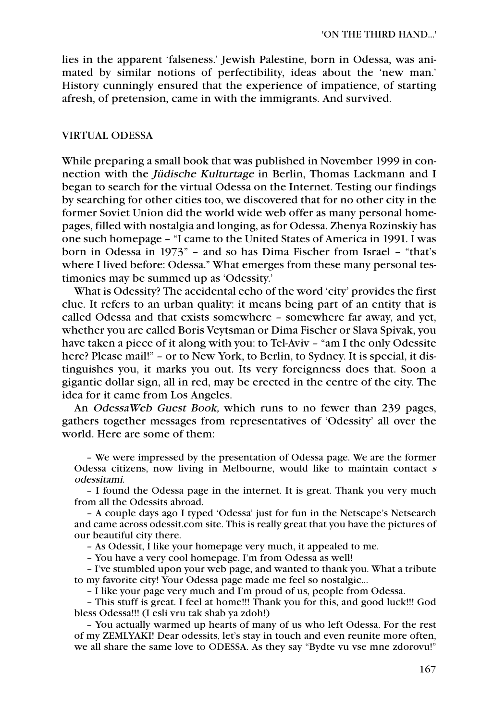lies in the apparent 'falseness.' Jewish Palestine, born in Odessa, was animated by similar notions of perfectibility, ideas about the 'new man.' History cunningly ensured that the experience of impatience, of starting afresh, of pretension, came in with the immigrants. And survived.

## VIRTUAL ODESSA

While preparing a small book that was published in November 1999 in connection with the Jüdische Kulturtage in Berlin, Thomas Lackmann and I began to search for the virtual Odessa on the Internet. Testing our findings by searching for other cities too, we discovered that for no other city in the former Soviet Union did the world wide web offer as many personal homepages, filled with nostalgia and longing, as for Odessa. Zhenya Rozinskiy has one such homepage – "I came to the United States of America in 1991. I was born in Odessa in 1973" – and so has Dima Fischer from Israel – "that's where I lived before: Odessa." What emerges from these many personal testimonies may be summed up as 'Odessity.'

What is Odessity? The accidental echo of the word 'city' provides the first clue. It refers to an urban quality: it means being part of an entity that is called Odessa and that exists somewhere – somewhere far away, and yet, whether you are called Boris Veytsman or Dima Fischer or Slava Spivak, you have taken a piece of it along with you: to Tel-Aviv – "am I the only Odessite here? Please mail!" – or to New York, to Berlin, to Sydney. It is special, it distinguishes you, it marks you out. Its very foreignness does that. Soon a gigantic dollar sign, all in red, may be erected in the centre of the city. The idea for it came from Los Angeles.

An OdessaWeb Guest Book, which runs to no fewer than 239 pages, gathers together messages from representatives of 'Odessity' all over the world. Here are some of them:

– We were impressed by the presentation of Odessa page. We are the former Odessa citizens, now living in Melbourne, would like to maintain contact  $s$ odessitami.

– I found the Odessa page in the internet. It is great. Thank you very much from all the Odessits abroad.

– A couple days ago I typed 'Odessa' just for fun in the Netscape's Netsearch and came across odessit.com site. This is really great that you have the pictures of our beautiful city there.

– As Odessit, I like your homepage very much, it appealed to me.

– You have a very cool homepage. I'm from Odessa as well!

– I've stumbled upon your web page, and wanted to thank you. What a tribute to my favorite city! Your Odessa page made me feel so nostalgic…

– I like your page very much and I'm proud of us, people from Odessa.

– This stuff is great. I feel at home!!! Thank you for this, and good luck!!! God bless Odessa!!! (I esli vru tak shab ya zdoh!)

– You actually warmed up hearts of many of us who left Odessa. For the rest of my ZEMLYAKI! Dear odessits, let's stay in touch and even reunite more often, we all share the same love to ODESSA. As they say "Bydte vu vse mne zdorovu!"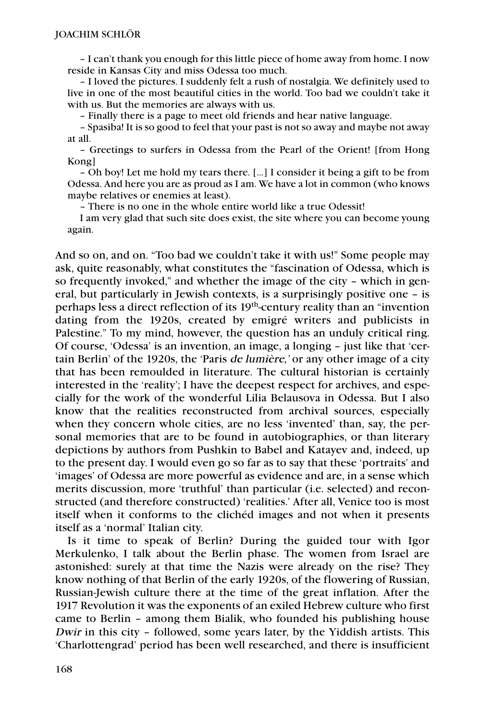– I can't thank you enough for this little piece of home away from home. I now reside in Kansas City and miss Odessa too much.

– I loved the pictures. I suddenly felt a rush of nostalgia. We definitely used to live in one of the most beautiful cities in the world. Too bad we couldn't take it with us. But the memories are always with us.

– Finally there is a page to meet old friends and hear native language.

– Spasiba! It is so good to feel that your past is not so away and maybe not away at all.

– Greetings to surfers in Odessa from the Pearl of the Orient! [from Hong Kong]

– Oh boy! Let me hold my tears there. […] I consider it being a gift to be from Odessa. And here you are as proud as I am. We have a lot in common (who knows maybe relatives or enemies at least).

– There is no one in the whole entire world like a true Odessit!

I am very glad that such site does exist, the site where you can become young again.

And so on, and on. "Too bad we couldn't take it with us!" Some people may ask, quite reasonably, what constitutes the "fascination of Odessa, which is so frequently invoked," and whether the image of the city – which in general, but particularly in Jewish contexts, is a surprisingly positive one – is perhaps less a direct reflection of its 19<sup>th</sup>-century reality than an "invention dating from the 1920s, created by emigré writers and publicists in Palestine." To my mind, however, the question has an unduly critical ring. Of course, 'Odessa' is an invention, an image, a longing – just like that 'certain Berlin' of the 1920s, the 'Paris de lumière,' or any other image of a city that has been remoulded in literature. The cultural historian is certainly interested in the 'reality'; I have the deepest respect for archives, and especially for the work of the wonderful Lilia Belausova in Odessa. But I also know that the realities reconstructed from archival sources, especially when they concern whole cities, are no less 'invented' than, say, the personal memories that are to be found in autobiographies, or than literary depictions by authors from Pushkin to Babel and Katayev and, indeed, up to the present day. I would even go so far as to say that these 'portraits' and 'images' of Odessa are more powerful as evidence and are, in a sense which merits discussion, more 'truthful' than particular (i.e. selected) and reconstructed (and therefore constructed) 'realities.' After all, Venice too is most itself when it conforms to the clichéd images and not when it presents itself as a 'normal' Italian city.

Is it time to speak of Berlin? During the guided tour with Igor Merkulenko, I talk about the Berlin phase. The women from Israel are astonished: surely at that time the Nazis were already on the rise? They know nothing of that Berlin of the early 1920s, of the flowering of Russian, Russian-Jewish culture there at the time of the great inflation. After the 1917 Revolution it was the exponents of an exiled Hebrew culture who first came to Berlin – among them Bialik, who founded his publishing house Dwir in this city – followed, some years later, by the Yiddish artists. This 'Charlottengrad' period has been well researched, and there is insufficient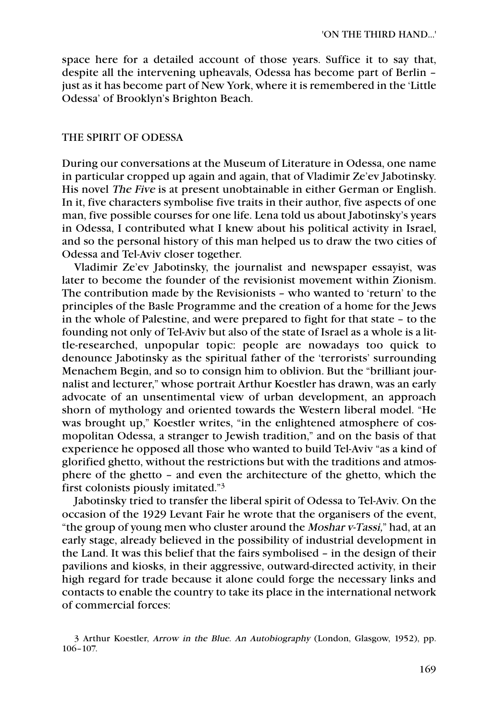space here for a detailed account of those years. Suffice it to say that, despite all the intervening upheavals, Odessa has become part of Berlin – just as it has become part of New York, where it is remembered in the 'Little Odessa' of Brooklyn's Brighton Beach.

### THE SPIRIT OF ODESSA

During our conversations at the Museum of Literature in Odessa, one name in particular cropped up again and again, that of Vladimir Ze'ev Jabotinsky. His novel The Five is at present unobtainable in either German or English. In it, five characters symbolise five traits in their author, five aspects of one man, five possible courses for one life. Lena told us about Jabotinsky's years in Odessa, I contributed what I knew about his political activity in Israel, and so the personal history of this man helped us to draw the two cities of Odessa and Tel-Aviv closer together.

Vladimir Ze'ev Jabotinsky, the journalist and newspaper essayist, was later to become the founder of the revisionist movement within Zionism. The contribution made by the Revisionists – who wanted to 'return' to the principles of the Basle Programme and the creation of a home for the Jews in the whole of Palestine, and were prepared to fight for that state – to the founding not only of Tel-Aviv but also of the state of Israel as a whole is a little-researched, unpopular topic: people are nowadays too quick to denounce Jabotinsky as the spiritual father of the 'terrorists' surrounding Menachem Begin, and so to consign him to oblivion. But the "brilliant journalist and lecturer," whose portrait Arthur Koestler has drawn, was an early advocate of an unsentimental view of urban development, an approach shorn of mythology and oriented towards the Western liberal model. "He was brought up," Koestler writes, "in the enlightened atmosphere of cosmopolitan Odessa, a stranger to Jewish tradition," and on the basis of that experience he opposed all those who wanted to build Tel-Aviv "as a kind of glorified ghetto, without the restrictions but with the traditions and atmosphere of the ghetto – and even the architecture of the ghetto, which the first colonists piously imitated."3

Jabotinsky tried to transfer the liberal spirit of Odessa to Tel-Aviv. On the occasion of the 1929 Levant Fair he wrote that the organisers of the event, "the group of young men who cluster around the Moshar v-Tassi," had, at an early stage, already believed in the possibility of industrial development in the Land. It was this belief that the fairs symbolised – in the design of their pavilions and kiosks, in their aggressive, outward-directed activity, in their high regard for trade because it alone could forge the necessary links and contacts to enable the country to take its place in the international network of commercial forces:

<sup>3</sup> Arthur Koestler, Arrow in the Blue. An Autobiography (London, Glasgow, 1952), pp. 106–107.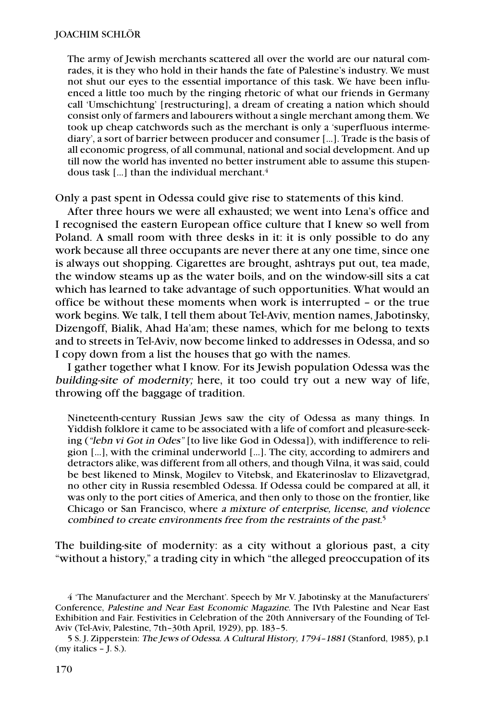The army of Jewish merchants scattered all over the world are our natural comrades, it is they who hold in their hands the fate of Palestine's industry. We must not shut our eyes to the essential importance of this task. We have been influenced a little too much by the ringing rhetoric of what our friends in Germany call 'Umschichtung' [restructuring], a dream of creating a nation which should consist only of farmers and labourers without a single merchant among them. We took up cheap catchwords such as the merchant is only a 'superfluous intermediary', a sort of barrier between producer and consumer […]. Trade is the basis of all economic progress, of all communal, national and social development. And up till now the world has invented no better instrument able to assume this stupendous task [...] than the individual merchant. $4$ 

Only a past spent in Odessa could give rise to statements of this kind.

After three hours we were all exhausted; we went into Lena's office and I recognised the eastern European office culture that I knew so well from Poland. A small room with three desks in it: it is only possible to do any work because all three occupants are never there at any one time, since one is always out shopping. Cigarettes are brought, ashtrays put out, tea made, the window steams up as the water boils, and on the window-sill sits a cat which has learned to take advantage of such opportunities. What would an office be without these moments when work is interrupted – or the true work begins. We talk, I tell them about Tel-Aviv, mention names, Jabotinsky, Dizengoff, Bialik, Ahad Ha'am; these names, which for me belong to texts and to streets in Tel-Aviv, now become linked to addresses in Odessa, and so I copy down from a list the houses that go with the names.

I gather together what I know. For its Jewish population Odessa was the building-site of modernity; here, it too could try out a new way of life, throwing off the baggage of tradition.

Nineteenth-century Russian Jews saw the city of Odessa as many things. In Yiddish folklore it came to be associated with a life of comfort and pleasure-seeking ("lebn vi Got in Odes" [to live like God in Odessa]), with indifference to religion […], with the criminal underworld […]. The city, according to admirers and detractors alike, was different from all others, and though Vilna, it was said, could be best likened to Minsk, Mogilev to Vitebsk, and Ekaterinoslav to Elizavetgrad, no other city in Russia resembled Odessa. If Odessa could be compared at all, it was only to the port cities of America, and then only to those on the frontier, like Chicago or San Francisco, where a mixture of enterprise, license, and violence combined to create environments free from the restraints of the past. 5

The building-site of modernity: as a city without a glorious past, a city "without a history," a trading city in which "the alleged preoccupation of its

5 S. J. Zipperstein: The Jews of Odessa. A Cultural History, 1794–1881 (Stanford, 1985), p.1 (my italics – J. S.).

<sup>4 &#</sup>x27;The Manufacturer and the Merchant'. Speech by Mr V. Jabotinsky at the Manufacturers' Conference, Palestine and Near East Economic Magazine. The IVth Palestine and Near East Exhibition and Fair. Festivities in Celebration of the 20th Anniversary of the Founding of Tel-Aviv (Tel-Aviv, Palestine, 7th–30th April, 1929), pp. 183–5.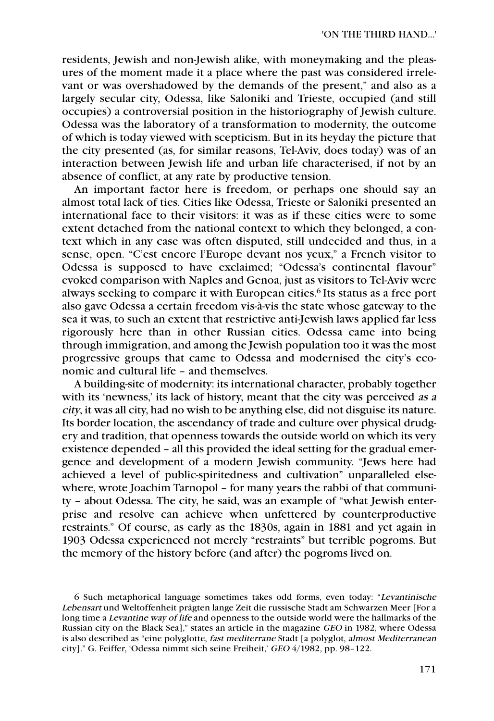residents, Jewish and non-Jewish alike, with moneymaking and the pleasures of the moment made it a place where the past was considered irrelevant or was overshadowed by the demands of the present," and also as a largely secular city, Odessa, like Saloniki and Trieste, occupied (and still occupies) a controversial position in the historiography of Jewish culture. Odessa was the laboratory of a transformation to modernity, the outcome of which is today viewed with scepticism. But in its heyday the picture that the city presented (as, for similar reasons, Tel-Aviv, does today) was of an interaction between Jewish life and urban life characterised, if not by an absence of conflict, at any rate by productive tension.

An important factor here is freedom, or perhaps one should say an almost total lack of ties. Cities like Odessa, Trieste or Saloniki presented an international face to their visitors: it was as if these cities were to some extent detached from the national context to which they belonged, a context which in any case was often disputed, still undecided and thus, in a sense, open. "C'est encore l'Europe devant nos yeux," a French visitor to Odessa is supposed to have exclaimed; "Odessa's continental flavour" evoked comparison with Naples and Genoa, just as visitors to Tel-Aviv were always seeking to compare it with European cities.<sup>6</sup> Its status as a free port also gave Odessa a certain freedom vis-à-vis the state whose gateway to the sea it was, to such an extent that restrictive anti-Jewish laws applied far less rigorously here than in other Russian cities. Odessa came into being through immigration, and among the Jewish population too it was the most progressive groups that came to Odessa and modernised the city's economic and cultural life – and themselves.

A building-site of modernity: its international character, probably together with its 'newness,' its lack of history, meant that the city was perceived as a city, it was all city, had no wish to be anything else, did not disguise its nature. Its border location, the ascendancy of trade and culture over physical drudgery and tradition, that openness towards the outside world on which its very existence depended – all this provided the ideal setting for the gradual emergence and development of a modern Jewish community. "Jews here had achieved a level of public-spiritedness and cultivation" unparalleled elsewhere, wrote Joachim Tarnopol – for many years the rabbi of that community – about Odessa. The city, he said, was an example of "what Jewish enterprise and resolve can achieve when unfettered by counterproductive restraints." Of course, as early as the 1830s, again in 1881 and yet again in 1903 Odessa experienced not merely "restraints" but terrible pogroms. But the memory of the history before (and after) the pogroms lived on.

<sup>6</sup> Such metaphorical language sometimes takes odd forms, even today: "Levantinische Lebensart und Weltoffenheit prägten lange Zeit die russische Stadt am Schwarzen Meer [For a long time a Levantine way of life and openness to the outside world were the hallmarks of the Russian city on the Black Sea]," states an article in the magazine GEO in 1982, where Odessa is also described as "eine polyglotte, fast mediterrane Stadt [a polyglot, almost Mediterranean city]." G. Feiffer, 'Odessa nimmt sich seine Freiheit,' GEO 4/1982, pp. 98–122.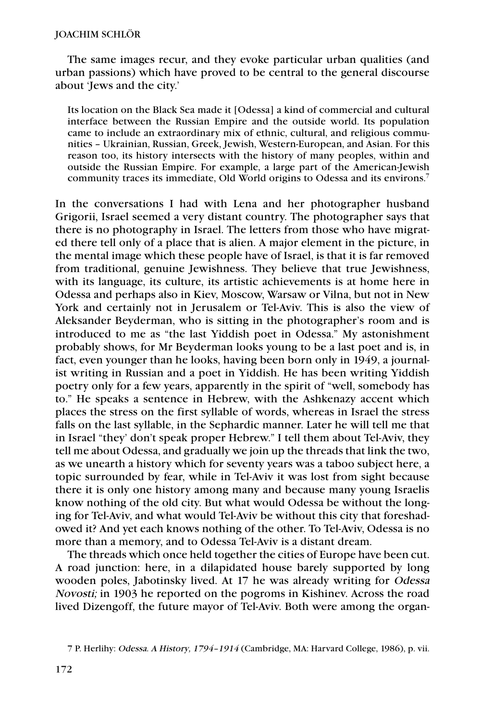The same images recur, and they evoke particular urban qualities (and urban passions) which have proved to be central to the general discourse about 'Jews and the city.'

Its location on the Black Sea made it [Odessa] a kind of commercial and cultural interface between the Russian Empire and the outside world. Its population came to include an extraordinary mix of ethnic, cultural, and religious communities – Ukrainian, Russian, Greek, Jewish, Western-European, and Asian. For this reason too, its history intersects with the history of many peoples, within and outside the Russian Empire. For example, a large part of the American-Jewish community traces its immediate, Old World origins to Odessa and its environs.7

In the conversations I had with Lena and her photographer husband Grigorii, Israel seemed a very distant country. The photographer says that there is no photography in Israel. The letters from those who have migrated there tell only of a place that is alien. A major element in the picture, in the mental image which these people have of Israel, is that it is far removed from traditional, genuine Jewishness. They believe that true Jewishness, with its language, its culture, its artistic achievements is at home here in Odessa and perhaps also in Kiev, Moscow, Warsaw or Vilna, but not in New York and certainly not in Jerusalem or Tel-Aviv. This is also the view of Aleksander Beyderman, who is sitting in the photographer's room and is introduced to me as "the last Yiddish poet in Odessa." My astonishment probably shows, for Mr Beyderman looks young to be a last poet and is, in fact, even younger than he looks, having been born only in 1949, a journalist writing in Russian and a poet in Yiddish. He has been writing Yiddish poetry only for a few years, apparently in the spirit of "well, somebody has to." He speaks a sentence in Hebrew, with the Ashkenazy accent which places the stress on the first syllable of words, whereas in Israel the stress falls on the last syllable, in the Sephardic manner. Later he will tell me that in Israel "they' don't speak proper Hebrew." I tell them about Tel-Aviv, they tell me about Odessa, and gradually we join up the threads that link the two, as we unearth a history which for seventy years was a taboo subject here, a topic surrounded by fear, while in Tel-Aviv it was lost from sight because there it is only one history among many and because many young Israelis know nothing of the old city. But what would Odessa be without the longing for Tel-Aviv, and what would Tel-Aviv be without this city that foreshadowed it? And yet each knows nothing of the other. To Tel-Aviv, Odessa is no more than a memory, and to Odessa Tel-Aviv is a distant dream.

The threads which once held together the cities of Europe have been cut. A road junction: here, in a dilapidated house barely supported by long wooden poles, Jabotinsky lived. At 17 he was already writing for Odessa Novosti; in 1903 he reported on the pogroms in Kishinev. Across the road lived Dizengoff, the future mayor of Tel-Aviv. Both were among the organ-

<sup>7</sup> P. Herlihy: Odessa. A History, 1794–1914 (Cambridge, MA: Harvard College, 1986), p. vii.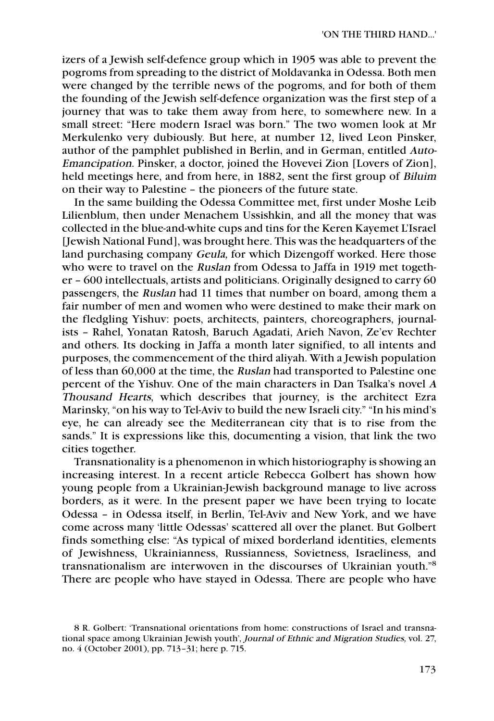izers of a Jewish self-defence group which in 1905 was able to prevent the pogroms from spreading to the district of Moldavanka in Odessa. Both men were changed by the terrible news of the pogroms, and for both of them the founding of the Jewish self-defence organization was the first step of a journey that was to take them away from here, to somewhere new. In a small street: "Here modern Israel was born." The two women look at Mr Merkulenko very dubiously. But here, at number 12, lived Leon Pinsker, author of the pamphlet published in Berlin, and in German, entitled Auto-Emancipation. Pinsker, a doctor, joined the Hovevei Zion [Lovers of Zion], held meetings here, and from here, in 1882, sent the first group of Biluim on their way to Palestine – the pioneers of the future state.

In the same building the Odessa Committee met, first under Moshe Leib Lilienblum, then under Menachem Ussishkin, and all the money that was collected in the blue-and-white cups and tins for the Keren Kayemet L'Israel [Jewish National Fund], was brought here. This was the headquarters of the land purchasing company Geula, for which Dizengoff worked. Here those who were to travel on the Ruslan from Odessa to Jaffa in 1919 met together – 600 intellectuals, artists and politicians. Originally designed to carry 60 passengers, the Ruslan had 11 times that number on board, among them a fair number of men and women who were destined to make their mark on the fledgling Yishuv: poets, architects, painters, choreographers, journalists – Rahel, Yonatan Ratosh, Baruch Agadati, Arieh Navon, Ze'ev Rechter and others. Its docking in Jaffa a month later signified, to all intents and purposes, the commencement of the third aliyah. With a Jewish population of less than 60,000 at the time, the Ruslan had transported to Palestine one percent of the Yishuv. One of the main characters in Dan Tsalka's novel <sup>A</sup> Thousand Hearts, which describes that journey, is the architect Ezra Marinsky, "on his way to Tel-Aviv to build the new Israeli city." "In his mind's eye, he can already see the Mediterranean city that is to rise from the sands." It is expressions like this, documenting a vision, that link the two cities together.

Transnationality is a phenomenon in which historiography is showing an increasing interest. In a recent article Rebecca Golbert has shown how young people from a Ukrainian-Jewish background manage to live across borders, as it were. In the present paper we have been trying to locate Odessa – in Odessa itself, in Berlin, Tel-Aviv and New York, and we have come across many 'little Odessas' scattered all over the planet. But Golbert finds something else: "As typical of mixed borderland identities, elements of Jewishness, Ukrainianness, Russianness, Sovietness, Israeliness, and transnationalism are interwoven in the discourses of Ukrainian youth."8 There are people who have stayed in Odessa. There are people who have

<sup>8</sup> R. Golbert: 'Transnational orientations from home: constructions of Israel and transnational space among Ukrainian Jewish youth', Journal of Ethnic and Migration Studies, vol. 27, no. 4 (October 2001), pp. 713–31; here p. 715.